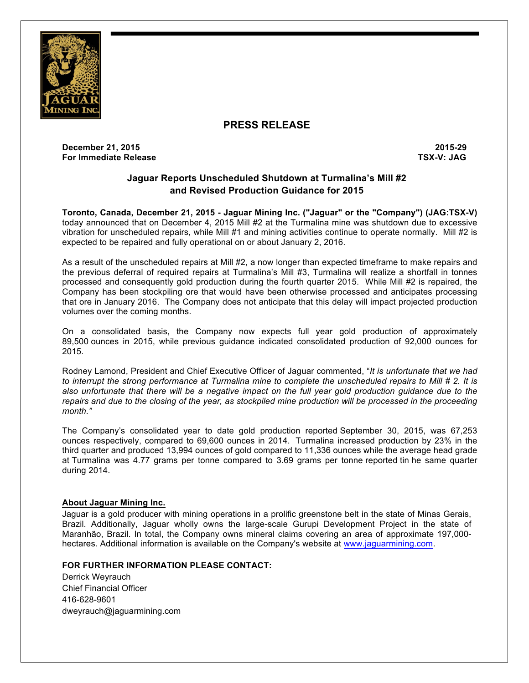

# **PRESS RELEASE**

**December 21, 2015 2015-29 For Immediate Release TSX-V: JAG**

## **Jaguar Reports Unscheduled Shutdown at Turmalina's Mill #2 and Revised Production Guidance for 2015**

**Toronto, Canada, December 21, 2015 - Jaguar Mining Inc. ("Jaguar" or the "Company") (JAG:TSX-V)** today announced that on December 4, 2015 Mill #2 at the Turmalina mine was shutdown due to excessive vibration for unscheduled repairs, while Mill #1 and mining activities continue to operate normally. Mill #2 is expected to be repaired and fully operational on or about January 2, 2016.

As a result of the unscheduled repairs at Mill #2, a now longer than expected timeframe to make repairs and the previous deferral of required repairs at Turmalina's Mill #3, Turmalina will realize a shortfall in tonnes processed and consequently gold production during the fourth quarter 2015. While Mill #2 is repaired, the Company has been stockpiling ore that would have been otherwise processed and anticipates processing that ore in January 2016. The Company does not anticipate that this delay will impact projected production volumes over the coming months.

On a consolidated basis, the Company now expects full year gold production of approximately 89,500 ounces in 2015, while previous guidance indicated consolidated production of 92,000 ounces for 2015.

Rodney Lamond, President and Chief Executive Officer of Jaguar commented, "*It is unfortunate that we had to interrupt the strong performance at Turmalina mine to complete the unscheduled repairs to Mill # 2. It is also unfortunate that there will be a negative impact on the full year gold production guidance due to the repairs and due to the closing of the year, as stockpiled mine production will be processed in the proceeding month."*

The Company's consolidated year to date gold production reported September 30, 2015, was 67,253 ounces respectively, compared to 69,600 ounces in 2014. Turmalina increased production by 23% in the third quarter and produced 13,994 ounces of gold compared to 11,336 ounces while the average head grade at Turmalina was 4.77 grams per tonne compared to 3.69 grams per tonne reported tin he same quarter during 2014.

### **About Jaguar Mining Inc.**

Jaguar is a gold producer with mining operations in a prolific greenstone belt in the state of Minas Gerais, Brazil. Additionally, Jaguar wholly owns the large-scale Gurupi Development Project in the state of Maranhão, Brazil. In total, the Company owns mineral claims covering an area of approximate 197,000 hectares. Additional information is available on the Company's website at www.jaguarmining.com.

## **FOR FURTHER INFORMATION PLEASE CONTACT:**

Derrick Weyrauch Chief Financial Officer 416-628-9601 dweyrauch@jaguarmining.com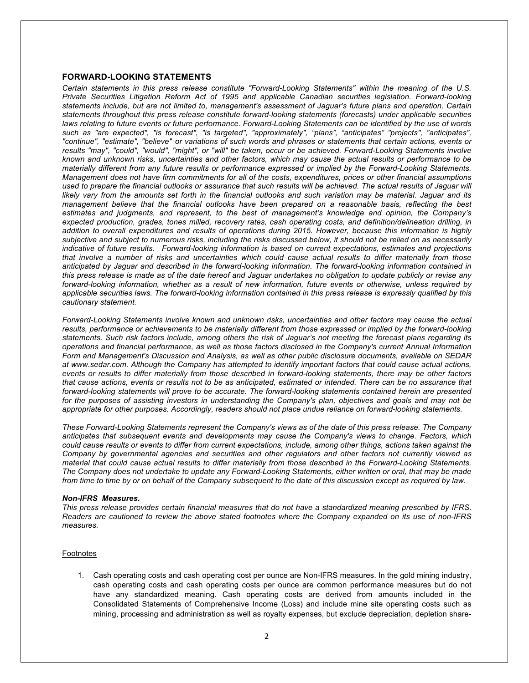### **FORWARD-LOOKING STATEMENTS**

*Certain statements in this press release constitute "Forward-Looking Statements" within the meaning of the U.S. Private Securities Litigation Reform Act of 1995 and applicable Canadian securities legislation. Forward-looking statements include, but are not limited to, management's assessment of Jaguar's future plans and operation. Certain statements throughout this press release constitute forward-looking statements (forecasts) under applicable securities laws relating to future events or future performance. Forward-Looking Statements can be identified by the use of words such as "are expected", "is forecast", "is targeted", "approximately", "plans", "anticipates" "projects", "anticipates", "continue", "estimate", "believe" or variations of such words and phrases or statements that certain actions, events or results "may", "could", "would", "might", or "will" be taken, occur or be achieved. Forward-Looking Statements involve known and unknown risks, uncertainties and other factors, which may cause the actual results or performance to be materially different from any future results or performance expressed or implied by the Forward-Looking Statements. Management does not have firm commitments for all of the costs, expenditures, prices or other financial assumptions used to prepare the financial outlooks or assurance that such results will be achieved. The actual results of Jaguar will likely vary from the amounts set forth in the financial outlooks and such variation may be material. Jaguar and its management believe that the financial outlooks have been prepared on a reasonable basis, reflecting the best estimates and judgments, and represent, to the best of management's knowledge and opinion, the Company's expected production, grades, tones milled, recovery rates, cash operating costs, and definition/delineation drilling, in addition to overall expenditures and results of operations during 2015. However, because this information is highly subjective and subject to numerous risks, including the risks discussed below, it should not be relied on as necessarily indicative of future results. Forward-looking information is based on current expectations, estimates and projections that involve a number of risks and uncertainties which could cause actual results to differ materially from those anticipated by Jaguar and described in the forward-looking information. The forward-looking information contained in this press release is made as of the date hereof and Jaguar undertakes no obligation to update publicly or revise any forward-looking information, whether as a result of new information, future events or otherwise, unless required by applicable securities laws. The forward-looking information contained in this press release is expressly qualified by this cautionary statement.*

*Forward-Looking Statements involve known and unknown risks, uncertainties and other factors may cause the actual results, performance or achievements to be materially different from those expressed or implied by the forward-looking statements. Such risk factors include, among others the risk of Jaguar's not meeting the forecast plans regarding its operations and financial performance, as well as those factors disclosed in the Company's current Annual Information Form and Management's Discussion and Analysis, as well as other public disclosure documents, available on SEDAR at www.sedar.com. Although the Company has attempted to identify important factors that could cause actual actions, events or results to differ materially from those described in forward-looking statements, there may be other factors that cause actions, events or results not to be as anticipated, estimated or intended. There can be no assurance that forward-looking statements will prove to be accurate. The forward-looking statements contained herein are presented for the purposes of assisting investors in understanding the Company's plan, objectives and goals and may not be appropriate for other purposes. Accordingly, readers should not place undue reliance on forward-looking statements.* 

*These Forward-Looking Statements represent the Company's views as of the date of this press release. The Company anticipates that subsequent events and developments may cause the Company's views to change. Factors, which could cause results or events to differ from current expectations, include, among other things, actions taken against the Company by governmental agencies and securities and other regulators and other factors not currently viewed as material that could cause actual results to differ materially from those described in the Forward-Looking Statements. The Company does not undertake to update any Forward-Looking Statements, either written or oral, that may be made from time to time by or on behalf of the Company subsequent to the date of this discussion except as required by law.* 

#### *Non-IFRS Measures.*

*This press release provides certain financial measures that do not have a standardized meaning prescribed by IFRS. Readers are cautioned to review the above stated footnotes where the Company expanded on its use of non-IFRS measures.*

#### Footnotes

1. Cash operating costs and cash operating cost per ounce are Non-IFRS measures. In the gold mining industry, cash operating costs and cash operating costs per ounce are common performance measures but do not have any standardized meaning. Cash operating costs are derived from amounts included in the Consolidated Statements of Comprehensive Income (Loss) and include mine site operating costs such as mining, processing and administration as well as royalty expenses, but exclude depreciation, depletion share